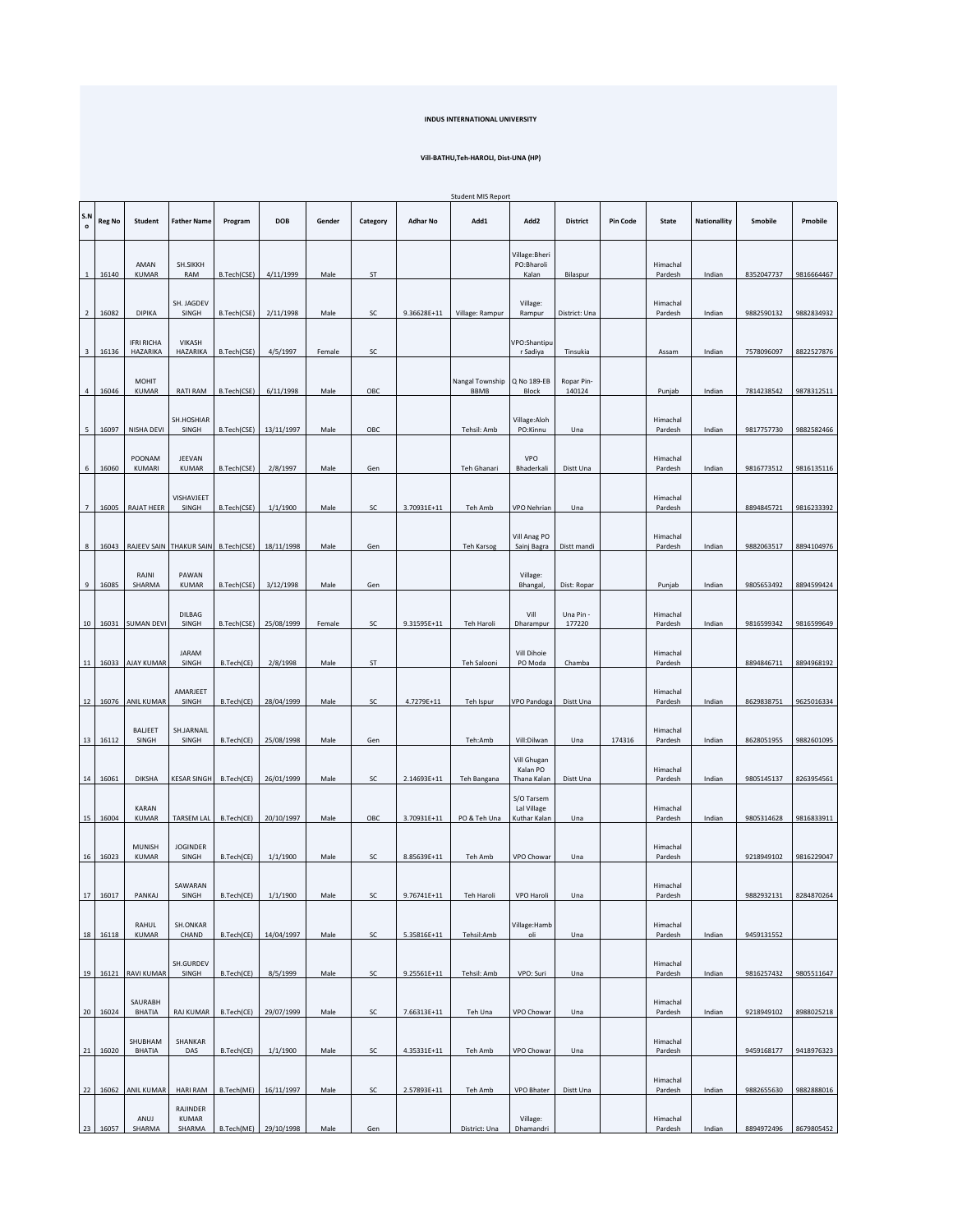## **INDUS INTERNATIONAL UNIVERSITY**

## **Vill-BATHU,Teh-HAROLI, Dist-UNA (HP)**

|                         |               |                               |                                     |             |            |        |            |                 | <b>Student MIS Report</b>      |                                           |                      |                 |                     |                     |            |            |
|-------------------------|---------------|-------------------------------|-------------------------------------|-------------|------------|--------|------------|-----------------|--------------------------------|-------------------------------------------|----------------------|-----------------|---------------------|---------------------|------------|------------|
| S.N<br>$\circ$          | <b>Reg No</b> | Student                       | <b>Father Name</b>                  | Program     | <b>DOB</b> | Gender | Category   | <b>Adhar No</b> | Add1                           | Add2                                      | <b>District</b>      | <b>Pin Code</b> | <b>State</b>        | <b>Nationallity</b> | Smobile    | Pmobile    |
| $\mathbf{1}$            | 16140         | AMAN<br><b>KUMAR</b>          | SH.SIKKH<br>RAM                     | B.Tech(CSE) | 4/11/1999  | Male   | ST         |                 |                                | Village: Bheri<br>PO:Bharoli<br>Kalan     | Bilaspur             |                 | Himachal<br>Pardesh | Indian              | 8352047737 | 9816664467 |
| $\overline{2}$          | 16082         | DIPIKA                        | SH. JAGDEV<br>SINGH                 | B.Tech(CSE) | 2/11/1998  | Male   | SC         | 9.36628E+11     | Village: Rampur                | Village:<br>Rampur                        | District: Una        |                 | Himachal<br>Pardesh | Indian              | 9882590132 | 9882834932 |
| $\overline{\mathbf{3}}$ | 16136         | <b>IFRI RICHA</b><br>HAZARIKA | VIKASH<br>HAZARIKA                  | B.Tech(CSE) | 4/5/1997   | Female | SC         |                 |                                | VPO:Shantipu<br>r Sadiya                  | Tinsukia             |                 | Assam               | Indian              | 7578096097 | 8822527876 |
| 4                       | 16046         | <b>MOHIT</b><br><b>KUMAR</b>  | RATI RAM                            | B.Tech(CSE) | 6/11/1998  | Male   | OBC        |                 | Nangal Township<br><b>BBMB</b> | Q No 189-EB<br>Block                      | Ropar Pin-<br>140124 |                 | Punjab              | Indian              | 7814238542 | 9878312511 |
| 5                       | 16097         | NISHA DEVI                    | SH.HOSHIAR<br>SINGH                 | B.Tech(CSE) | 13/11/1997 | Male   | OBC        |                 | Tehsil: Amb                    | Village:Aloh<br>PO:Kinnu                  | Una                  |                 | Himachal<br>Pardesh | Indian              | 9817757730 | 9882582466 |
| 6                       | 16060         | POONAM<br>KUMARI              | JEEVAN<br><b>KUMAR</b>              | B.Tech(CSE) | 2/8/1997   | Male   | Gen        |                 | Teh Ghanari                    | VPO<br>Bhaderkali                         | Distt Una            |                 | Himachal<br>Pardesh | Indian              | 9816773512 | 9816135116 |
| $\overline{7}$          | 16005         | <b>RAJAT HEER</b>             | VISHAVJEET<br>SINGH                 | B.Tech(CSE) | 1/1/1900   | Male   | SC         | 3.70931E+11     | Teh Amb                        | VPO Nehrian                               | Una                  |                 | Himachal<br>Pardesh |                     | 8894845721 | 9816233392 |
| 8                       | 16043         |                               | RAJEEV SAIN THAKUR SAIN B.Tech(CSE) |             | 18/11/1998 | Male   | Gen        |                 | Teh Karsog                     | Vill Anag PO<br>Sainj Bagra               | Distt mandi          |                 | Himachal<br>Pardesh | Indian              | 9882063517 | 8894104976 |
| 9                       | 16085         | RAJNI<br>SHARMA               | PAWAN<br><b>KUMAR</b>               | B.Tech(CSE) | 3/12/1998  | Male   | Gen        |                 |                                | Village:<br>Bhangal,                      | Dist: Ropar          |                 | Punjab              | Indian              | 9805653492 | 8894599424 |
| 10                      | 16031         | <b>SUMAN DEVI</b>             | DILBAG<br>SINGH                     | B.Tech(CSE) | 25/08/1999 | Female | SC         | 9.31595E+11     | Teh Haroli                     | Vill<br>Dharampur                         | Una Pin -<br>177220  |                 | Himachal<br>Pardesh | Indian              | 9816599342 | 9816599649 |
| $11\,$                  | 16033         | <b>AJAY KUMAR</b>             | <b>JARAM</b><br>SINGH               | B.Tech(CE)  | 2/8/1998   | Male   | ST         |                 | Teh Salooni                    | Vill Dihoie<br>PO Moda                    | Chamba               |                 | Himachal<br>Pardesh |                     | 8894846711 | 8894968192 |
|                         |               | 12   16076   ANIL KUMAR       | AMARJEET<br>SINGH                   | B.Tech(CE)  | 28/04/1999 | Male   | SC         | 4.7279E+11      | Teh Ispur                      | VPO Pandoga                               | Distt Una            |                 | Himachal<br>Pardesh | Indian              | 8629838751 | 9625016334 |
| 13                      | 16112         | BALJEET<br>SINGH              | SH.JARNAIL<br>SINGH                 | B.Tech(CE)  | 25/08/1998 | Male   | Gen        |                 | Teh:Amb                        | Vill:Dilwan                               | Una                  | 174316          | Himachal<br>Pardesh | Indian              | 8628051955 | 9882601095 |
| 14                      | 16061         | <b>DIKSHA</b>                 | KESAR SINGH                         | B.Tech(CE)  | 26/01/1999 | Male   | SC         | 2.14693E+11     | Teh Bangana                    | Vill Ghugan<br>Kalan PO<br>Thana Kalan    | Distt Una            |                 | Himachal<br>Pardesh | Indian              | 9805145137 | 8263954561 |
| 15                      | 16004         | <b>KARAN</b><br><b>KUMAR</b>  | TARSEM LAL                          | B.Tech(CE)  | 20/10/1997 | Male   | OBC        | 3.70931E+11     | PO & Teh Una                   | S/O Tarsem<br>Lal Village<br>Kuthar Kalan | Una                  |                 | Himachal<br>Pardesh | Indian              | 9805314628 | 9816833911 |
| 16                      | 16023         | <b>MUNISH</b><br><b>KUMAR</b> | <b>JOGINDER</b><br>SINGH            | B.Tech(CE)  | 1/1/1900   | Male   | SC         | 8.85639E+11     | Teh Amb                        | VPO Chowar                                | Una                  |                 | Himachal<br>Pardesh |                     | 9218949102 | 9816229047 |
| 17                      | 16017         | PANKAJ                        | SAWARAN<br>SINGH                    | B.Tech(CE)  | 1/1/1900   | Male   | SC         | 9.76741E+11     | Teh Haroli                     | VPO Haroli                                | Una                  |                 | Himachal<br>Pardesh |                     | 9882932131 | 8284870264 |
|                         | 18 16118      | RAHUL<br>KUMAR                | SH.ONKAR<br>CHAND                   | B.Tech(CE)  | 14/04/1997 | Male   | SC         | 5.35816E+11     | Tehsil:Amb                     | Village: Hamb<br>oli                      | Una                  |                 | Himachal<br>Pardesh | Indian              | 9459131552 |            |
| 19                      | 16121         | <b>RAVI KUMAR</b>             | SH.GURDEV<br>SINGH                  | B.Tech(CE)  | 8/5/1999   | Male   | SC         | 9.25561E+11     | Tehsil: Amb                    | VPO: Suri                                 | Una                  |                 | Himachal<br>Pardesh | Indian              | 9816257432 | 9805511647 |
| 20                      | 16024         | SAURABH<br>BHATIA             | RAJ KUMAR                           | B.Tech(CE)  | 29/07/1999 | Male   | SC         | 7.66313E+11     | Teh Una                        | VPO Chowar                                | Una                  |                 | Himachal<br>Pardesh | Indian              | 9218949102 | 8988025218 |
| ${\bf 21}$              | 16020         | SHUBHAM<br><b>BHATIA</b>      | SHANKAR<br>DAS                      | B.Tech(CE)  | 1/1/1900   | Male   | ${\sf SC}$ | 4.35331E+11     | Teh Amb                        | VPO Chowar                                | Una                  |                 | Himachal<br>Pardesh |                     | 9459168177 | 9418976323 |
| 22                      | 16062         | ANIL KUMAR                    | <b>HARI RAM</b>                     | B.Tech(ME)  | 16/11/1997 | Male   | SC         | 2.57893E+11     | Teh Amb                        | VPO Bhater                                | Distt Una            |                 | Himachal<br>Pardesh | Indian              | 9882655630 | 9882888016 |
| 23                      | 16057         | ANUJ<br>SHARMA                | RAJINDER<br><b>KUMAR</b><br>SHARMA  | B.Tech(ME)  | 29/10/1998 | Male   | Gen        |                 | District: Una                  | Village:<br>Dhamandri                     |                      |                 | Himachal<br>Pardesh | Indian              | 8894972496 | 8679805452 |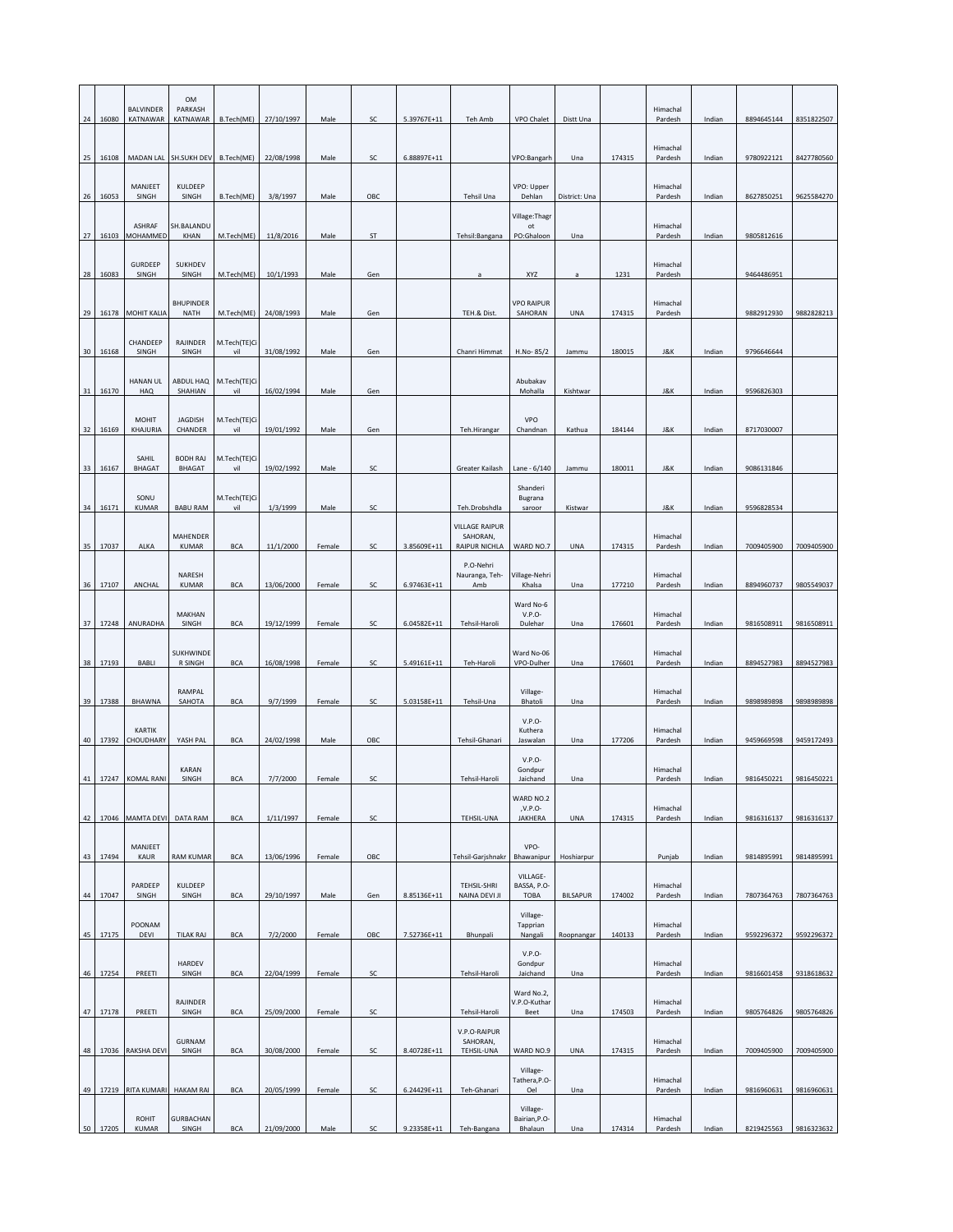|    |       | <b>BALVINDER</b>             | OM<br>PARKASH                    |                     |            |        |     |             |                                                    |                                             |                 |        | Himachal            |        |            |            |
|----|-------|------------------------------|----------------------------------|---------------------|------------|--------|-----|-------------|----------------------------------------------------|---------------------------------------------|-----------------|--------|---------------------|--------|------------|------------|
| 24 | 16080 | KATNAWAR                     | KATNAWAR                         | B.Tech(ME)          | 27/10/1997 | Male   | SC  | 5.39767E+11 | Teh Amb                                            | VPO Chalet                                  | Distt Una       |        | Pardesh             | Indian | 8894645144 | 8351822507 |
| 25 | 16108 | MADAN LAL                    | SH.SUKH DEV                      | B.Tech(ME)          | 22/08/1998 | Male   | SC  | 6.88897E+11 |                                                    | VPO:Bangarh                                 | Una             | 174315 | Himachal<br>Pardesh | Indian | 9780922121 | 8427780560 |
| 26 | 16053 | MANJEET<br>SINGH             | KULDEEP<br>SINGH                 | B.Tech(ME)          | 3/8/1997   | Male   | OBC |             | Tehsil Una                                         | VPO: Upper<br>Dehlan                        | District: Una   |        | Himachal<br>Pardesh | Indian | 8627850251 | 9625584270 |
| 27 | 16103 | ASHRAF<br>MOHAMMED           | SH.BALANDU<br>KHAN               | M.Tech(ME)          | 11/8/2016  | Male   | ST  |             |                                                    | Village: Thagr<br>$_{\rm ot}$<br>PO:Ghaloon | Una             |        | Himachal<br>Pardesh | Indian | 9805812616 |            |
|    |       | <b>GURDEEP</b>               | SUKHDEV                          |                     |            |        |     |             | Tehsil:Bangana                                     |                                             |                 |        | Himachal            |        |            |            |
| 28 | 16083 | SINGH                        | SINGH                            | M.Tech(ME)          | 10/1/1993  | Male   | Gen |             |                                                    | XYZ                                         |                 | 1231   | Pardesh             |        | 9464486951 |            |
| 29 | 16178 | <b>MOHIT KALIA</b>           | <b>BHUPINDER</b><br><b>NATH</b>  | M.Tech(ME)          | 24/08/1993 | Male   | Gen |             | TEH.& Dist.                                        | <b>VPO RAIPUR</b><br>SAHORAN                | <b>UNA</b>      | 174315 | Himachal<br>Pardesh |        | 9882912930 | 9882828213 |
| 30 | 16168 | CHANDEEP<br>SINGH            | RAJINDER<br>SINGH                | M.Tech(TE)Ci<br>vil | 31/08/1992 | Male   | Gen |             | Chanri Himmat                                      | H.No-85/2                                   | Jammu           | 180015 | J&K                 | Indian | 9796646644 |            |
| 31 | 16170 | <b>HANAN UL</b><br>HAQ       | ABDUL HAQ<br>SHAHIAN             | M.Tech(TE)Ci<br>vil | 16/02/1994 | Male   | Gen |             |                                                    | Abubakav<br>Mohalla                         | Kishtwar        |        | J&K                 | Indian | 9596826303 |            |
|    |       | <b>MOHIT</b>                 | <b>JAGDISH</b><br>CHANDER        | M.Tech(TE)Ci        |            | Male   | Gen |             |                                                    | VPO                                         |                 | 184144 |                     |        | 8717030007 |            |
| 32 | 16169 | KHAJURIA                     |                                  | vil                 | 19/01/1992 |        |     |             | Teh.Hirangar                                       | Chandnan                                    | Kathua          |        | J&K                 | Indian |            |            |
| 33 | 16167 | SAHIL<br><b>BHAGAT</b>       | <b>BODH RAJ</b><br><b>BHAGAT</b> | M.Tech(TE)Ci<br>vil | 19/02/1992 | Male   | SC  |             | Greater Kailash                                    | Lane - 6/140                                | Jammu           | 180011 | J&K                 | Indian | 9086131846 |            |
| 34 | 16171 | SONU<br>KUMAR                | <b>BABU RAM</b>                  | M.Tech(TE)Ci<br>vil | 1/3/1999   | Male   | SC  |             | Teh.Drobshdla                                      | Shanderi<br>Bugrana<br>saroor               | Kistwar         |        | J&K                 | Indian | 9596828534 |            |
| 35 | 17037 | ALKA                         | MAHENDER<br><b>KUMAR</b>         | <b>BCA</b>          | 11/1/2000  | Female | SC  | 3.85609E+11 | <b>VILLAGE RAIPUR</b><br>SAHORAN,<br>RAIPUR NICHLA | WARD NO.7                                   | <b>UNA</b>      | 174315 | Himachal<br>Pardesh | Indian | 7009405900 | 7009405900 |
| 36 | 17107 | ANCHAL                       | NARESH<br><b>KUMAR</b>           | <b>BCA</b>          | 13/06/2000 | Female | SC  | 6.97463E+11 | P.O-Nehri<br>Nauranga, Teh-<br>Amb                 | Village-Nehri<br>Khalsa                     | Una             | 177210 | Himachal<br>Pardesh | Indian | 8894960737 | 9805549037 |
|    |       |                              | MAKHAN                           |                     |            |        |     |             |                                                    | Ward No-6<br>$V.P.O-$                       |                 |        | Himachal            |        |            |            |
| 37 | 17248 | ANURADHA                     | SINGH                            | <b>BCA</b>          | 19/12/1999 | Female | SC  | 6.04582E+11 | Tehsil-Haroli                                      | Dulehar                                     | Una             | 176601 | Pardesh             | Indian | 9816508911 | 9816508911 |
| 38 | 17193 | BABLI                        | SUKHWINDE<br>R SINGH             | <b>BCA</b>          | 16/08/1998 | Female | SC  | 5.49161E+11 | Teh-Haroli                                         | Ward No-06<br>VPO-Dulher                    | Una             | 176601 | Himachal<br>Pardesh | Indian | 8894527983 | 8894527983 |
| 39 | 17388 | <b>BHAWNA</b>                | RAMPAL<br>SAHOTA                 | <b>BCA</b>          | 9/7/1999   | Female | SC  | 5.03158E+11 | Tehsil-Una                                         | Village-<br><b>Bhatoli</b>                  | Una             |        | Himachal<br>Pardesh | Indian | 9898989898 | 9898989898 |
| 40 | 17392 | <b>KARTIK</b><br>CHOUDHARY   | YASH PAL                         | <b>BCA</b>          | 24/02/1998 | Male   | OBC |             | Tehsil-Ghanari                                     | $V.P.O-$<br>Kuthera<br>Jaswalan             | Una             | 177206 | Himachal<br>Pardesh | Indian | 9459669598 | 9459172493 |
| 41 |       | 17247 KOMAL RANI             | <b>KARAN</b><br>SINGH            | <b>BCA</b>          | 7/7/2000   | Female | SC  |             | Tehsil-Haroli                                      | V.P.O<br>Gondpur<br>Jaichand                | Una             |        | Himachal<br>Pardesh | Indian | 9816450221 | 9816450221 |
| 42 |       | 17046 MAMTA DEVI             | DATA RAM                         | <b>BCA</b>          | 1/11/1997  | Female | SC  |             | TEHSIL-UNA                                         | WARD NO.2<br>,V.P.O-<br>JAKHERA             | UNA             | 174315 | Himachal<br>Pardesh | Indian | 9816316137 | 9816316137 |
|    |       | MANJEET                      |                                  |                     |            |        |     |             |                                                    | VPO-                                        |                 |        |                     |        |            |            |
| 43 | 17494 | KAUR                         | <b>RAM KUMAR</b>                 | <b>BCA</b>          | 13/06/1996 | Female | OBC |             | Tehsil-Garjshnakr                                  | Bhawanipur<br>VILLAGE-                      | Hoshiarpur      |        | Punjab              | Indian | 9814895991 | 9814895991 |
| 44 | 17047 | PARDEEP<br>SINGH             | KULDEEP<br>SINGH                 | <b>BCA</b>          | 29/10/1997 | Male   | Gen | 8.85136E+11 | TEHSIL-SHRI<br>NAINA DEVI JI                       | BASSA, P.O-<br>TOBA                         | <b>BILSAPUR</b> | 174002 | Himachal<br>Pardesh | Indian | 7807364763 | 7807364763 |
| 45 | 17175 | POONAM<br>DEVI               | TILAK RAJ                        | <b>BCA</b>          | 7/2/2000   | Female | OBC | 7.52736E+11 | Bhunpali                                           | Village-<br>Tapprian<br>Nangali             | Roopnangar      | 140133 | Himachal<br>Pardesh | Indian | 9592296372 | 9592296372 |
| 46 | 17254 | PREETI                       | HARDEV<br>SINGH                  | <b>BCA</b>          | 22/04/1999 | Female | SC  |             | Tehsil-Haroli                                      | $V.P.O-$<br>Gondpur<br>Jaichand             | Una             |        | Himachal<br>Pardesh | Indian | 9816601458 | 9318618632 |
|    |       |                              | RAJINDER                         |                     |            |        |     |             |                                                    | Ward No.2,<br>V.P.O-Kuthar                  |                 |        | Himachal            |        |            |            |
| 47 | 17178 | PREETI                       | SINGH<br>GURNAM                  | <b>BCA</b>          | 25/09/2000 | Female | SC  |             | Tehsil-Haroli<br>V.P.O-RAIPUR<br>SAHORAN,          | Beet                                        | Una             | 174503 | Pardesh             | Indian | 9805764826 | 9805764826 |
| 48 | 17036 | RAKSHA DEVI                  | SINGH                            | <b>BCA</b>          | 30/08/2000 | Female | SC  | 8.40728E+11 | TEHSIL-UNA                                         | WARD NO.9                                   | <b>UNA</b>      | 174315 | Himachal<br>Pardesh | Indian | 7009405900 | 7009405900 |
| 49 | 17219 | <b>RITA KUMARI</b>           | <b>HAKAM RAI</b>                 | <b>BCA</b>          | 20/05/1999 | Female | SC  | 6.24429E+11 | Teh-Ghanari                                        | Village-<br>Tathera, P.O-<br>Oel            | Una             |        | Himachal<br>Pardesh | Indian | 9816960631 | 9816960631 |
| 50 | 17205 | <b>ROHIT</b><br><b>KUMAR</b> | <b>GURBACHAN</b><br>SINGH        | <b>BCA</b>          | 21/09/2000 | Male   | SC  | 9.23358E+11 | Teh-Bangana                                        | Village-<br>Bairian, P.O-<br>Bhalaun        | Una             | 174314 | Himachal<br>Pardesh | Indian | 8219425563 | 9816323632 |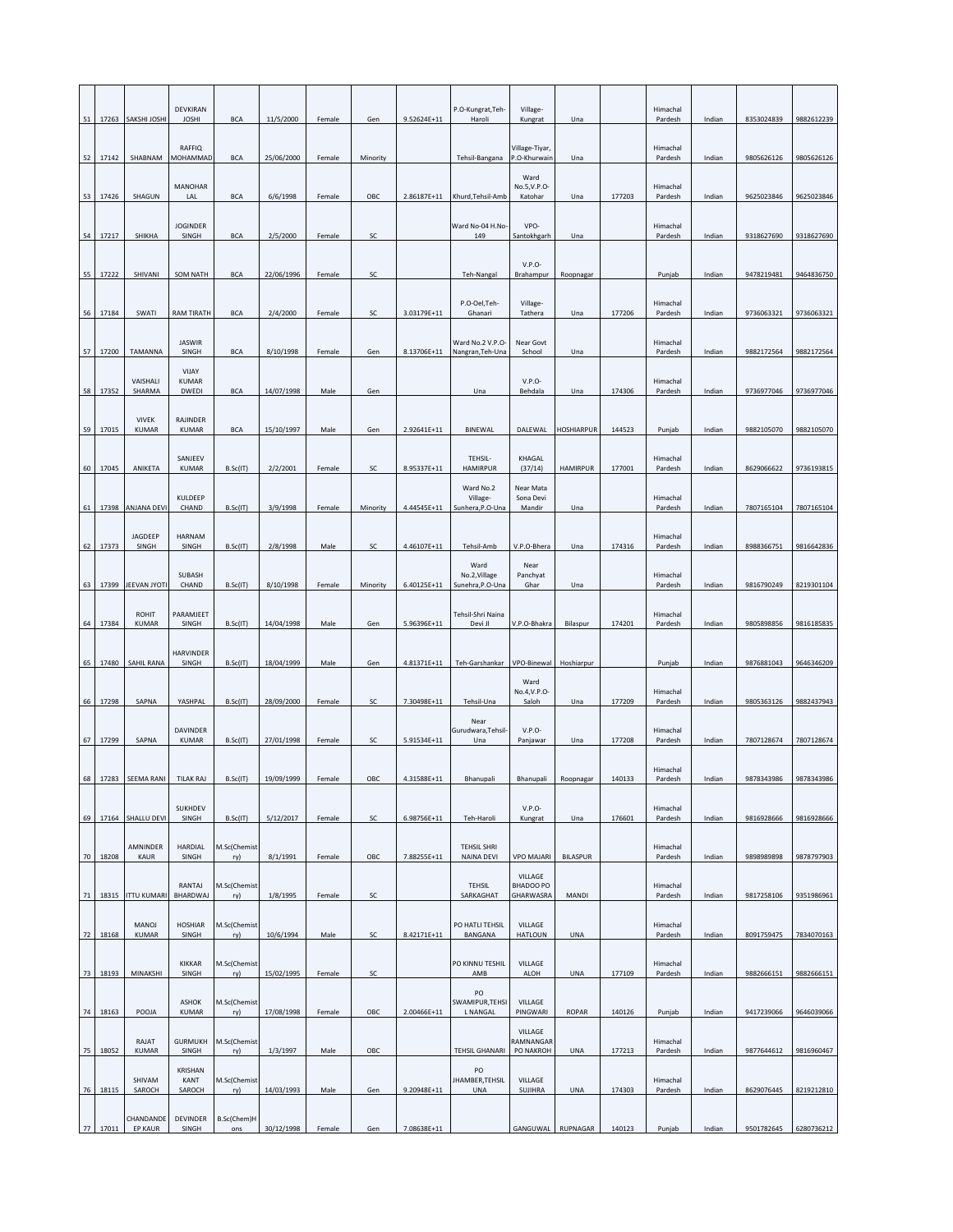|             |                              |                                 |                     |            | Female | Gen      | 9.52624E+11 | P.O-Kungrat, Teh-<br>Haroli               | Kungrat                                   | Una               |        | Pardesh             | Indian | 8353024839 | 9882612239 |
|-------------|------------------------------|---------------------------------|---------------------|------------|--------|----------|-------------|-------------------------------------------|-------------------------------------------|-------------------|--------|---------------------|--------|------------|------------|
| 52<br>17142 | SHABNAM                      | <b>RAFFIO</b><br>MOHAMMAD       | <b>BCA</b>          | 25/06/2000 | Female | Minority |             | Tehsil-Bangana                            | Village-Tiyar,<br>P.O-Khurwain            | Una               |        | Himachal<br>Pardesh | Indian | 9805626126 | 9805626126 |
| 53<br>17426 | SHAGUN                       | <b>MANOHAR</b><br>LAL           | <b>BCA</b>          | 6/6/1998   | Female | OBC      | 2.86187E+11 | Khurd, Tehsil-Amb                         | Ward<br>No.5, V.P.O<br>Katohar            | Una               | 177203 | Himachal<br>Pardesh | Indian | 9625023846 | 9625023846 |
| 54<br>17217 | SHIKHA                       | <b>JOGINDER</b><br>SINGH        | <b>BCA</b>          | 2/5/2000   | Female | SC       |             | Ward No-04 H.No-<br>149                   | VPO-<br>Santokhgarh                       | Una               |        | Himachal<br>Pardesh | Indian | 9318627690 | 9318627690 |
|             |                              |                                 |                     |            |        |          |             |                                           | V.P.O                                     |                   |        |                     |        |            |            |
| 55<br>17222 | SHIVANI                      | <b>SOM NATH</b>                 | <b>BCA</b>          | 22/06/1996 | Female | SC       |             | Teh-Nangal<br>P.O-Oel, Teh-               | Brahampur<br>Village-                     | Roopnagar         |        | Punjab<br>Himachal  | Indian | 9478219481 | 9464836750 |
| 56<br>17184 | SWATI                        | <b>RAM TIRATH</b>               | <b>BCA</b>          | 2/4/2000   | Female | SC       | 3.03179E+11 | Ghanari                                   | Tathera                                   | Una               | 177206 | Pardesh             | Indian | 9736063321 | 9736063321 |
| 57<br>17200 | <b>TAMANNA</b>               | <b>JASWIR</b><br>SINGH<br>VIJAY | <b>BCA</b>          | 8/10/1998  | Female | Gen      | 8.13706E+11 | Ward No.2 V.P.O-<br>Nangran, Teh-Una      | Near Govt<br>School                       | Una               |        | Himachal<br>Pardesh | Indian | 9882172564 | 9882172564 |
| 58<br>17352 | VAISHALI<br>SHARMA           | <b>KUMAR</b><br>DWEDI           | <b>BCA</b>          | 14/07/1998 | Male   | Gen      |             | Una                                       | V.P.O<br>Behdala                          | Una               | 174306 | Himachal<br>Pardesh | Indian | 9736977046 | 9736977046 |
| 59<br>17015 | <b>VIVEK</b><br><b>KUMAR</b> | RAJINDER<br>KUMAR               | <b>BCA</b>          | 15/10/1997 | Male   | Gen      | 2.92641E+11 | <b>BINEWAL</b>                            | DALEWAL                                   | <b>HOSHIARPUR</b> | 144523 | Punjab              | Indian | 9882105070 | 9882105070 |
| 60<br>17045 | ANIKETA                      | SANJEEV<br><b>KUMAR</b>         | B.Sc(IT)            | 2/2/2001   | Female | SC       | 8.95337E+11 | TEHSIL-<br><b>HAMIRPUR</b>                | KHAGAL<br>(37/14)                         | <b>HAMIRPUR</b>   | 177001 | Himachal<br>Pardesh | Indian | 8629066622 | 9736193815 |
| 61<br>17398 | ANJANA DEVI                  | KULDEEP<br>CHAND                | B.Sc(IT)            | 3/9/1998   | Female | Minority | 4.44545E+11 | Ward No.2<br>Village-<br>Sunhera, P.O-Una | Near Mata<br>Sona Devi<br>Mandir          | Una               |        | Himachal<br>Pardesh | Indian | 7807165104 | 7807165104 |
| 62<br>17373 | JAGDEEP<br>SINGH             | <b>HARNAM</b><br>SINGH          | B.Sc(IT)            | 2/8/1998   | Male   | SC       | 4.46107E+11 | Tehsil-Amb                                | V.P.O-Bhera                               | Una               | 174316 | Himachal<br>Pardesh | Indian | 8988366751 | 9816642836 |
| 63          | 17399 JEEVAN JYOTI           | SUBASH<br>CHAND                 | B.Sc(IT)            | 8/10/1998  | Female | Minority | 6.40125E+11 | Ward<br>No.2, Village<br>Sunehra, P.O-Una | Near<br>Panchyat<br>Ghar                  | Una               |        | Himachal<br>Pardesh | Indian | 9816790249 | 8219301104 |
|             | <b>ROHIT</b>                 | PARAMJEET                       |                     |            |        |          |             | Tehsil-Shri Naina                         |                                           |                   |        | Himachal            |        |            |            |
| 64<br>17384 | KUMAR                        | SINGH                           | B.Sc(IT)            | 14/04/1998 | Male   | Gen      | 5.96396E+11 | Devi JI                                   | V.P.O-Bhakra                              | Bilaspur          | 174201 | Pardesh             | Indian | 9805898856 | 9816185835 |
| 65<br>17480 | <b>SAHIL RANA</b>            | HARVINDER<br>SINGH              | B.Sc(IT)            | 18/04/1999 | Male   | Gen      | 4.81371E+11 | Teh-Garshankar                            | VPO-Binewal<br>Ward                       | Hoshiarpur        |        | Punjab              | Indian | 9876881043 | 9646346209 |
| 66<br>17298 | SAPNA                        | YASHPAL                         | B.Sc(IT)            | 28/09/2000 | Female | SC       | 7.30498E+11 | Tehsil-Una                                | No.4, V.P.O<br>Saloh                      | Una               | 177209 | Himachal<br>Pardesh | Indian | 9805363126 | 9882437943 |
| 67<br>17299 | SAPNA                        | <b>DAVINDER</b><br>KUMAR        | B.Sc(IT)            | 27/01/1998 | Female | SC       | 5.91534E+11 | Near<br>Gurudwara, Tehsil-<br>Una         | V.P.O<br>Panjawar                         | Una               | 177208 | Himachal<br>Pardesh | Indian | 7807128674 | 7807128674 |
| 68          | 17283 SEEMA RANI             | <b>TILAK RAJ</b>                | B.Sc(IT)            | 19/09/1999 | Female | OBC      | 4.31588E+11 | Bhanupali                                 | Bhanupali                                 | Roopnagar         | 140133 | Himachal<br>Pardesh | Indian | 9878343986 | 9878343986 |
| 17164<br>69 | SHALLU DEVI                  | SUKHDEV<br>SINGH                | B.Sc(IT)            | 5/12/2017  | Female | SC       | 6.98756E+11 | Teh-Haroli                                | $V.P.O-$<br>Kungrat                       | Una               | 176601 | Himachal<br>Pardesh | Indian | 9816928666 | 9816928666 |
|             | AMNINDER                     | HARDIAL                         | M.Sc(Chemist        |            |        |          |             | <b>TEHSIL SHRI</b>                        |                                           |                   |        | Himachal            |        |            |            |
| 18208<br>70 | KAUR                         | SINGH<br>RANTAJ                 | ry)<br>M.Sc(Chemist | 8/1/1991   | Female | OBC      | 7.88255E+11 | NAINA DEVI<br><b>TEHSIL</b>               | <b>VPO MAJARI</b><br>VILLAGE<br>BHADOO PO | <b>BILASPUR</b>   |        | Pardesh<br>Himachal | Indian | 9898989898 | 9878797903 |
| 71<br>18315 | <b>ITTU KUMARI</b>           | BHARDWAJ                        | ry)                 | 1/8/1995   | Female | SC       |             | SARKAGHAT                                 | GHARWASRA                                 | MANDI             |        | Pardesh             | Indian | 9817258106 | 9351986961 |
| 72<br>18168 | MANOJ<br>KUMAR               | <b>HOSHIAR</b><br>SINGH         | M.Sc(Chemist<br>ry) | 10/6/1994  | Male   | SC       | 8.42171E+11 | PO HATLI TEHSIL<br>BANGANA                | VILLAGE<br><b>HATLOUN</b>                 | <b>UNA</b>        |        | Himachal<br>Pardesh | Indian | 8091759475 | 7834070163 |
| 73<br>18193 | MINAKSHI                     | <b>KIKKAR</b><br>SINGH          | M.Sc(Chemist<br>ry) | 15/02/1995 | Female | SC       |             | PO KINNU TESHIL<br>AMB                    | VILLAGE<br>ALOH                           | <b>UNA</b>        | 177109 | Himachal<br>Pardesh | Indian | 9882666151 | 9882666151 |
| 74<br>18163 | POOJA                        | ASHOK<br><b>KUMAR</b>           | M.Sc(Chemist<br>ry) | 17/08/1998 | Female | OBC      | 2.00466E+11 | PO<br>SWAMIPUR, TEHSI<br><b>L NANGAL</b>  | VILLAGE<br>PINGWARI                       | <b>ROPAR</b>      | 140126 | Punjab              | Indian | 9417239066 | 9646039066 |
| 75<br>18052 | RAJAT<br>KUMAR               | <b>GURMUKH</b><br>SINGH         | M.Sc(Chemist<br>ry) | 1/3/1997   | Male   | OBC      |             | <b>TEHSIL GHANARI</b>                     | VILLAGE<br>RAMNANGAR<br>PO NAKROH         | UNA               | 177213 | Himachal<br>Pardesh | Indian | 9877644612 | 9816960467 |
| 76<br>18115 | SHIVAM<br>SAROCH             | KRISHAN<br>KANT<br>SAROCH       | M.Sc(Chemist<br>ry) | 14/03/1993 | Male   | Gen      | 9.20948E+11 | PO<br>JHAMBER, TEHSIL<br><b>UNA</b>       | VILLAGE<br>SUJIHRA                        | <b>UNA</b>        | 174303 | Himachal<br>Pardesh | Indian | 8629076445 | 8219212810 |
| 77<br>17011 | CHANDANDE<br><b>EP KAUR</b>  | <b>DEVINDER</b><br>SINGH        | B.Sc(Chem)H<br>ons  | 30/12/1998 | Female | Gen      | 7.08638E+11 |                                           | GANGUWAL                                  | RUPNAGAR          | 140123 | Punjab              | Indian | 9501782645 | 6280736212 |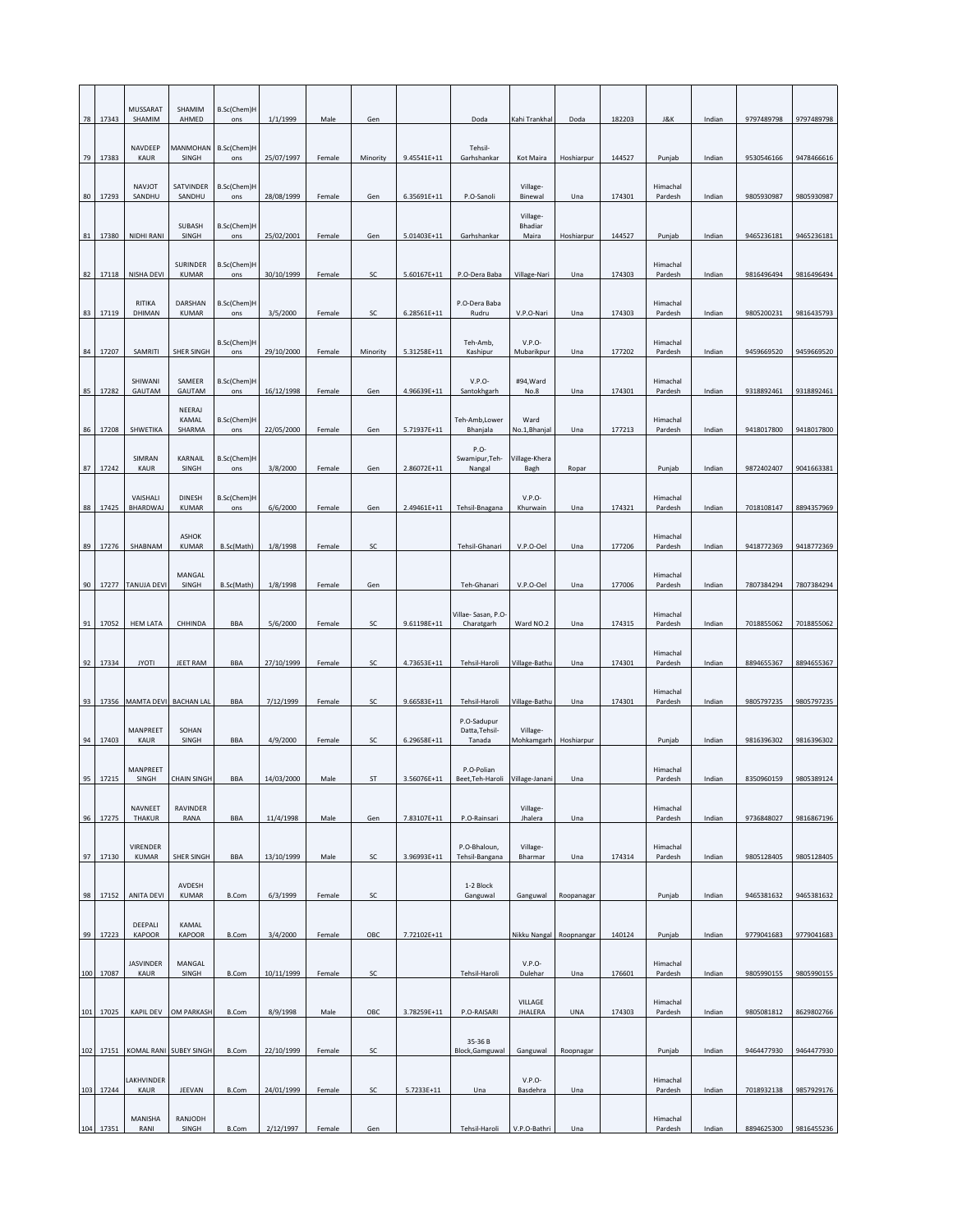|     |           | MUSSARAT                 | SHAMIM                        | B.Sc(Chem)H        |            |        |          |             |                                         |                            |            |        |                     |        |            |            |
|-----|-----------|--------------------------|-------------------------------|--------------------|------------|--------|----------|-------------|-----------------------------------------|----------------------------|------------|--------|---------------------|--------|------------|------------|
| 78  | 17343     | SHAMIM                   | AHMED                         | ons                | 1/1/1999   | Male   | Gen      |             | Doda                                    | Kahi Trankhal              | Doda       | 182203 | J&K                 | Indian | 9797489798 | 9797489798 |
| 79  | 17383     | NAVDEEP<br>KAUR          | MANMOHAN B.Sc(Chem)H<br>SINGH | ons                | 25/07/1997 | Female | Minority | 9.45541E+11 | Tehsil-<br>Garhshankar                  | Kot Maira                  | Hoshiarpur | 144527 | Punjab              | Indian | 9530546166 | 9478466616 |
| 80  | 17293     | NAVJOT<br>SANDHU         | SATVINDER<br>SANDHU           | B.Sc(Chem)H<br>ons | 28/08/1999 | Female | Gen      | 6.35691E+11 | P.O-Sanoli                              | Village-<br>Binewal        | Una        | 174301 | Himachal<br>Pardesh | Indian | 9805930987 | 9805930987 |
|     |           |                          | SUBASH                        | B.Sc(Chem)H        |            |        |          |             |                                         | Village-<br><b>Bhadiar</b> |            |        |                     |        |            |            |
| 81  | 17380     | NIDHI RANI               | SINGH                         | ons                | 25/02/2001 | Female | Gen      | 5.01403E+11 | Garhshankar                             | Maira                      | Hoshiarpur | 144527 | Punjab              | Indian | 9465236181 | 9465236181 |
| 82  | 17118     | NISHA DEVI               | SURINDER<br>KUMAR             | B.Sc(Chem)H<br>ons | 30/10/1999 | Female | SC       | 5.60167E+11 | P.O-Dera Baba                           | Village-Nari               | Una        | 174303 | Himachal<br>Pardesh | Indian | 9816496494 | 9816496494 |
| 83  | 17119     | RITIKA<br>DHIMAN         | DARSHAN<br><b>KUMAR</b>       | B.Sc(Chem)H<br>ons | 3/5/2000   | Female | SC       | 6.28561E+11 | P.O-Dera Baba<br>Rudru                  | V.P.O-Nari                 | Una        | 174303 | Himachal<br>Pardesh | Indian | 9805200231 | 9816435793 |
|     |           |                          |                               | B.Sc(Chem)H        |            |        |          |             | Teh-Amb,                                | $V.P.O-$                   |            |        | Himachal            |        |            |            |
| 84  | 17207     | SAMRITI                  | SHER SINGH                    | ons                | 29/10/2000 | Female | Minority | 5.31258E+11 | Kashipur                                | Mubarikpur                 | Una        | 177202 | Pardesh             | Indian | 9459669520 | 9459669520 |
| 85  | 17282     | SHIWANI<br>GAUTAM        | SAMEER<br>GAUTAM              | B.Sc(Chem)H<br>ons | 16/12/1998 | Female | Gen      | 4.96639E+11 | $V.P.O-$<br>Santokhgarh                 | #94, Ward<br>No.8          | Una        | 174301 | Himachal<br>Pardesh | Indian | 9318892461 | 9318892461 |
| 86  | 17208     | SHWETIKA                 | NEERAJ<br>KAMAL<br>SHARMA     | B.Sc(Chem)H<br>ons | 22/05/2000 | Female | Gen      | 5.71937E+11 | Teh-Amb, Lower<br>Bhanjala              | Ward<br>No.1, Bhanjal      | Una        | 177213 | Himachal<br>Pardesh | Indian | 9418017800 | 9418017800 |
| 87  | 17242     | SIMRAN<br>KAUR           | KARNAIL<br>SINGH              | B.Sc(Chem)H<br>ons | 3/8/2000   | Female | Gen      | 2.86072E+11 | P.O-<br>Swamipur, Teh-<br>Nangal        | Village-Khera<br>Bagh      | Ropar      |        | Punjab              | Indian | 9872402407 | 9041663381 |
|     |           | VAISHALI                 | <b>DINESH</b>                 | B.Sc(Chem)H        |            |        |          |             |                                         | V.P.O                      |            |        | Himachal            |        |            |            |
| 88  | 17425     | BHARDWAJ                 | <b>KUMAR</b>                  | ons                | 6/6/2000   | Female | Gen      | 2.49461E+11 | Tehsil-Bnagana                          | Khurwain                   | Una        | 174321 | Pardesh             | Indian | 7018108147 | 8894357969 |
| 89  | 17276     | SHABNAM                  | <b>ASHOK</b><br><b>KUMAR</b>  | B.Sc(Math)         | 1/8/1998   | Female | SC       |             | Tehsil-Ghanari                          | V.P.O-Oel                  | Una        | 177206 | Himachal<br>Pardesh | Indian | 9418772369 | 9418772369 |
| 90  |           | 17277 TANUJA DEVI        | MANGAL<br>SINGH               | B.Sc(Math)         | 1/8/1998   |        |          |             |                                         |                            | Una        |        | Himachal            |        |            | 7807384294 |
|     |           |                          |                               |                    |            | Female | Gen      |             | Teh-Ghanari                             | V.P.O-Oel                  |            | 177006 | Pardesh             | Indian | 7807384294 |            |
| 91  | 17052     | <b>HEM LATA</b>          | CHHINDA                       | <b>BBA</b>         | 5/6/2000   | Female | SC       | 9.61198E+11 | Villae-Sasan, P.O-<br>Charatgarh        | Ward NO.2                  | Una        | 174315 | Himachal<br>Pardesh | Indian | 7018855062 | 7018855062 |
| 92  | 17334     | <b>JYOTI</b>             | JEET RAM                      | BBA                | 27/10/1999 | Female | SC       | 4.73653E+11 | Tehsil-Haroli                           | Village-Bathu              | Una        | 174301 | Himachal<br>Pardesh | Indian | 8894655367 | 8894655367 |
| 93  |           | 17356 MAMTA DEVI         | <b>BACHAN LAL</b>             | BBA                | 7/12/1999  | Female | SC       | 9.66583E+11 | Tehsil-Haroli                           | Village-Bathu              | Una        | 174301 | Himachal<br>Pardesh | Indian | 9805797235 | 9805797235 |
| 94  | 17403     | MANPREET<br>KAUR         | SOHAN<br>SINGH                | <b>BBA</b>         | 4/9/2000   | Female | SC       | 6.29658E+11 | P.O-Sadupur<br>Datta, Tehsil-<br>Tanada | Village-<br>Mohkamgarh     | Hoshiarpur |        | Punjab              | Indian | 9816396302 | 9816396302 |
|     |           | MANPREET                 |                               |                    |            |        |          |             | P.O-Polian                              |                            |            |        | Himachal            |        |            |            |
| 95  | 17215     | SINGH                    | CHAIN SINGH                   | BBA                | 14/03/2000 | Male   | ST       | 3.56076E+11 | Beet, Teh-Haroli Village-Janani         |                            | Una        |        | Pardesh             | Indian | 8350960159 | 9805389124 |
| 96  | 17275     | <b>NAVNEET</b><br>THAKUR | <b>RAVINDER</b><br>RANA       | BBA                | 11/4/1998  | Male   | Gen      | 7.83107E+11 | P.O-Rainsari                            | Village-<br>Jhalera        | Una        |        | Himachal<br>Pardesh | Indian | 9736848027 | 9816867196 |
|     |           | VIRENDER                 |                               |                    |            |        |          |             | P.O-Bhaloun,                            | Village-                   |            |        | Himachal            |        |            |            |
| 97  | 17130     | <b>KUMAR</b>             | SHER SINGH                    | BBA                | 13/10/1999 | Male   | SC       | 3.96993E+11 | Tehsil-Bangana                          | Bharmar                    | Una        | 174314 | Pardesh             | Indian | 9805128405 | 9805128405 |
| 98  | 17152     | <b>ANITA DEVI</b>        | AVDESH<br><b>KUMAR</b>        | B.Com              | 6/3/1999   | Female | SC       |             | 1-2 Block<br>Ganguwal                   | Ganguwal                   | Roopanagar |        | Punjab              | Indian | 9465381632 | 9465381632 |
| 99  | 17223     | DEEPALI<br>KAPOOR        | KAMAL<br>KAPOOR               | B.Com              | 3/4/2000   | Female | OBC      | 7.72102E+11 |                                         | Nikku Nangal Roopnangar    |            | 140124 | Punjab              | Indian | 9779041683 | 9779041683 |
|     |           | JASVINDER                | MANGAL                        |                    |            |        |          |             |                                         | $V.P.O-$                   |            |        | Himachal            |        |            |            |
|     | 100 17087 | KAUR                     | SINGH                         | B.Com              | 10/11/1999 | Female | SC       |             | Tehsil-Haroli                           | Dulehar                    | Una        | 176601 | Pardesh             | Indian | 9805990155 | 9805990155 |
| 101 | 17025     | KAPIL DEV                | OM PARKASH                    | B.Com              | 8/9/1998   | Male   | OBC      | 3.78259E+11 | P.O-RAISARI                             | VILLAGE<br><b>JHALERA</b>  | <b>UNA</b> | 174303 | Himachal<br>Pardesh | Indian | 9805081812 | 8629802766 |
| 102 | 17151     |                          | KOMAL RANI SUBEY SINGH        | <b>B.Com</b>       | 22/10/1999 | Female | SC       |             | 35-36 B<br>Block, Gamguwal              | Ganguwal                   | Roopnagar  |        | Punjab              | Indian | 9464477930 | 9464477930 |
| 103 | 17244     | LAKHVINDER<br>KAUR       | JEEVAN                        | B.Com              | 24/01/1999 | Female | SC       | 5.7233E+11  | Una                                     | $V.P.O-$<br>Basdehra       | Una        |        | Himachal<br>Pardesh | Indian | 7018932138 | 9857929176 |
|     | 104 17351 | MANISHA<br>RANI          | RANJODH<br>SINGH              | B.Com              | 2/12/1997  | Female | Gen      |             | Tehsil-Haroli                           | V.P.O-Bathri               | Una        |        | Himachal<br>Pardesh | Indian | 8894625300 | 9816455236 |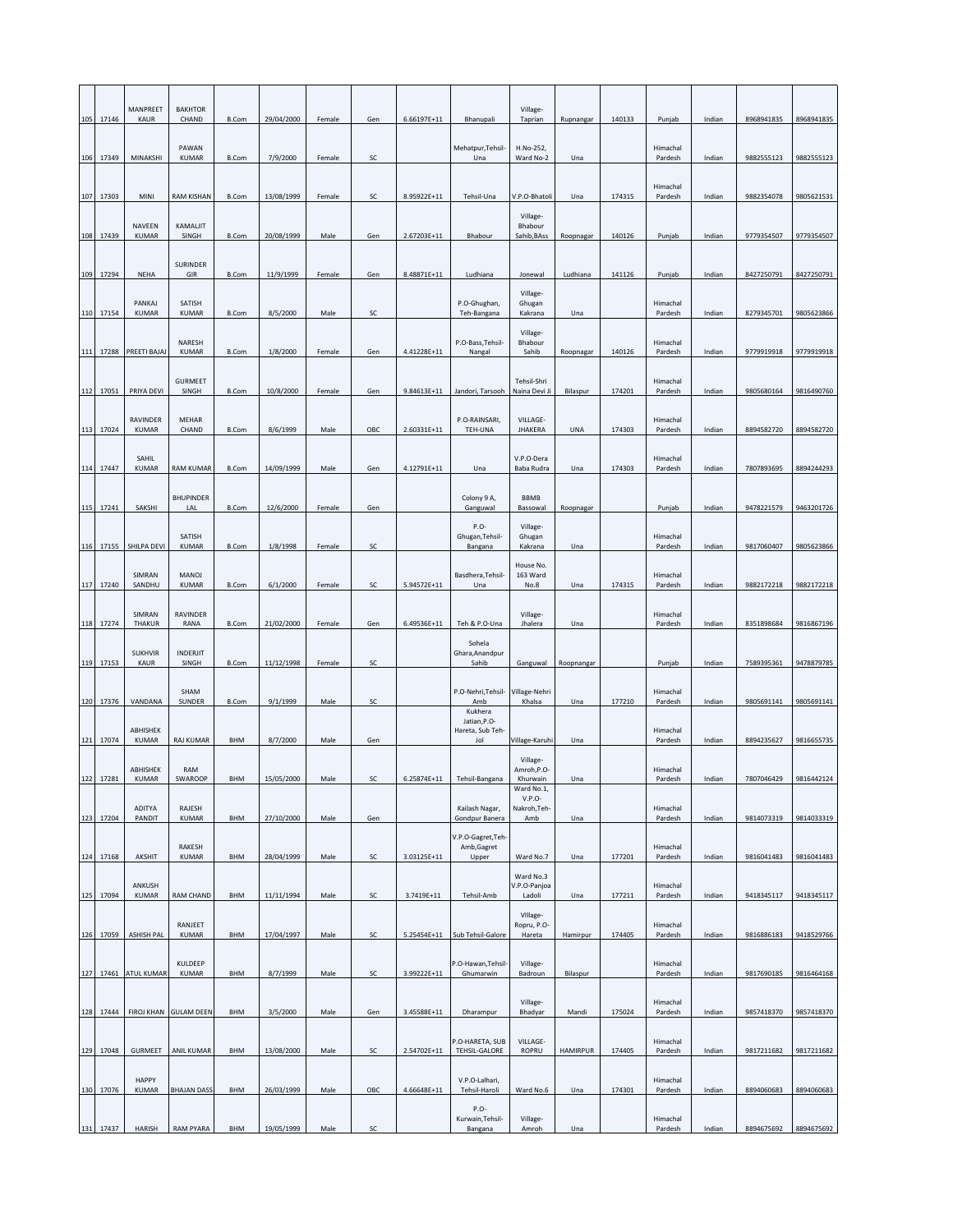|     |           | MANPREET                 | <b>BAKHTOR</b>          |              |            |        |     |               |                                                    | Village-                               |                 |        |                     |        |            |            |
|-----|-----------|--------------------------|-------------------------|--------------|------------|--------|-----|---------------|----------------------------------------------------|----------------------------------------|-----------------|--------|---------------------|--------|------------|------------|
|     | 105 17146 | KAUR                     | CHAND                   | <b>B.Com</b> | 29/04/2000 | Female | Gen | $6.66197E+11$ | Bhanupali                                          | Taprian                                | Rupnangar       | 140133 | Punjab              | Indian | 8968941835 | 8968941835 |
| 106 | 17349     | MINAKSHI                 | PAWAN<br><b>KUMAR</b>   | B.Com        | 7/9/2000   | Female | SC  |               | Mehatpur, Tehsil-<br>Una                           | H.No-252,<br>Ward No-2                 | Una             |        | Himachal<br>Pardesh | Indian | 9882555123 | 9882555123 |
|     | 107 17303 | MINI                     | RAM KISHAN              | B.Com        | 13/08/1999 | Female | SC  | 8.95922E+11   | Tehsil-Una                                         | V.P.O-Bhatoli                          | Una             | 174315 | Himachal<br>Pardesh | Indian | 9882354078 | 9805621531 |
| 108 | 17439     | NAVEEN<br><b>KUMAR</b>   | KAMALIIT<br>SINGH       | <b>B.Com</b> | 20/08/1999 | Male   | Gen | 2.67203E+11   | Bhabour                                            | Village-<br>Bhabour<br>Sahib, BAss     | Roopnagar       | 140126 | Punjab              | Indian | 9779354507 | 9779354507 |
|     |           |                          | SURINDER                |              |            |        |     |               |                                                    |                                        |                 |        |                     |        |            |            |
| 109 | 17294     | NEHA                     | GIR                     | B.Com        | 11/9/1999  | Female | Gen | 8.48871E+11   | Ludhiana                                           | Jonewal                                | Ludhiana        | 141126 | Punjab              | Indian | 8427250791 | 8427250791 |
| 110 | 17154     | PANKAJ<br><b>KUMAR</b>   | SATISH<br><b>KUMAR</b>  | B.Com        | 8/5/2000   | Male   | SC  |               | P.O-Ghughan,<br>Teh-Bangana                        | Village-<br>Ghugan<br>Kakrana          | Una             |        | Himachal<br>Pardesh | Indian | 8279345701 | 9805623866 |
|     |           |                          | NARESH<br><b>KUMAR</b>  |              | 1/8/2000   |        |     | 4.41228E+11   | P.O-Bass, Tehsil-                                  | Village-<br>Bhabour                    | Roopnagar       | 140126 | Himachal            |        |            | 9779919918 |
| 111 | 17288     | PREETI BAJAJ             | <b>GURMEET</b>          | B.Com        |            | Female | Gen |               | Nangal                                             | Sahib<br>Tehsil-Shri                   |                 |        | Pardesh<br>Himachal | Indian | 9779919918 |            |
| 112 | 17051     | PRIYA DEVI               | SINGH                   | B.Com        | 10/8/2000  | Female | Gen | $9.84613E+11$ | Jandori, Tarsooh                                   | Naina Devi Ji                          | Bilaspur        | 174201 | Pardesh             | Indian | 9805680164 | 9816490760 |
| 113 | 17024     | RAVINDER<br><b>KUMAR</b> | MEHAR<br>CHAND          | B.Com        | 8/6/1999   | Male   | OBC | 2.60331E+11   | P.O-RAINSARI.<br>TEH-UNA                           | VILLAGE-<br><b>JHAKERA</b>             | <b>UNA</b>      | 174303 | Himachal<br>Pardesh | Indian | 8894582720 | 8894582720 |
|     | 114 17447 | SAHIL<br><b>KUMAR</b>    | <b>RAM KUMAR</b>        | B.Com        | 14/09/1999 | Male   | Gen | 4.12791E+11   | Una                                                | V.P.O-Dera<br>Baba Rudra               | Una             | 174303 | Himachal<br>Pardesh | Indian | 7807893695 | 8894244293 |
|     |           |                          |                         |              |            |        |     |               |                                                    |                                        |                 |        |                     |        |            |            |
|     | 115 17241 | SAKSHI                   | <b>BHUPINDER</b><br>LAL | B.Com        | 12/6/2000  | Female | Gen |               | Colony 9 A,<br>Ganguwal                            | <b>BBMB</b><br>Bassowal                | Roopnagar       |        | Punjab              | Indian | 9478221579 | 9463201726 |
| 116 | 17155     | SHILPA DEVI              | SATISH<br><b>KUMAR</b>  | B.Com        | 1/8/1998   | Female | SC  |               | P.O-<br>Ghugan, Tehsil-<br>Bangana                 | Village-<br>Ghugan<br>Kakrana          | Una             |        | Himachal<br>Pardesh | Indian | 9817060407 | 9805623866 |
|     |           | SIMRAN                   | MANOJ                   |              | 6/1/2000   |        |     | 5.94572E+11   | Basdhera, Tehsil-                                  | House No.<br>163 Ward                  |                 |        | Himachal            |        |            |            |
|     | 117 17240 | SANDHU                   | <b>KUMAR</b>            | B.Com        |            | Female | SC  |               | Una                                                | No.8                                   | Una             | 174315 | Pardesh             | Indian | 9882172218 | 9882172218 |
| 118 | 17274     | SIMRAN<br>THAKUR         | RAVINDER<br>RANA        | B.Com        | 21/02/2000 | Female | Gen | 6.49536E+11   | Teh & P.O-Una                                      | Village-<br>Jhalera                    | Una             |        | Himachal<br>Pardesh | Indian | 8351898684 | 9816867196 |
|     |           | <b>SUKHVIR</b>           | INDERJIT                |              |            |        |     |               | Sohela<br>Ghara, Anandpur                          |                                        |                 |        |                     |        |            |            |
| 119 | 17153     | KAUR                     | SINGH                   | B.Com        | 11/12/1998 | Female | SC  |               | Sahib                                              | Ganguwal                               | Roopnangar      |        | Punjab              | Indian | 7589395361 | 9478879785 |
|     | 120 17376 | VANDANA                  | SHAM<br>SUNDER          | <b>B.Com</b> | 9/1/1999   | Male   | SC  |               | P.O-Nehri, Tehsil-<br>Amb                          | Village-Nehri<br>Khalsa                | Una             | 177210 | Himachal<br>Pardesh | Indian | 9805691141 | 9805691141 |
| 121 | 17074     | ABHISHEK<br><b>KUMAR</b> | <b>RAJ KUMAR</b>        | BHM          | 8/7/2000   | Male   | Gen |               | Kukhera<br>Jatian, P.O-<br>Hareta, Sub Teh-<br>Jol | Village-Karuhi                         | Una             |        | Himachal<br>Pardesh | Indian | 8894235627 | 9816655735 |
| 122 | 17281     | ABHISHEK<br><b>KUMAR</b> | RAM<br>SWAROOP          | BHM          | 15/05/2000 | Male   | SC  | 6.25874E+11   | Tehsil-Bangana                                     | Village-<br>Amroh, P.O-<br>Khurwain    | Una             |        | Himachal<br>Pardesh | Indian | 7807046429 | 9816442124 |
|     |           | ADITYA                   | RAJESH                  |              |            |        |     |               | Kailash Nagar,                                     | Ward No.1,<br>$V.P.O-$<br>Nakroh, Teh- |                 |        | Himachal            |        |            |            |
|     | 123 17204 | PANDIT                   | <b>KUMAR</b>            | BHM          | 27/10/2000 | Male   | Gen |               | Gondpur Banera                                     | Amb                                    | Una             |        | Pardesh             | Indian | 9814073319 | 9814033319 |
|     | 124 17168 | AKSHIT                   | RAKESH<br><b>KUMAR</b>  | BHM          | 28/04/1999 | Male   | SC  | 3.03125E+11   | V.P.O-Gagret, Teh-<br>Amb, Gagret<br>Upper         | Ward No.7                              | Una             | 177201 | Himachal<br>Pardesh | Indian | 9816041483 | 9816041483 |
| 125 | 17094     | ANKUSH<br><b>KUMAR</b>   | RAM CHAND               | BHM          | 11/11/1994 | Male   | SC  | 3.7419E+11    | Tehsil-Amb                                         | Ward No.3<br>V.P.O-Panjoa<br>Ladoli    | Una             | 177211 | Himachal<br>Pardesh | Indian | 9418345117 | 9418345117 |
|     |           |                          |                         |              |            |        |     |               |                                                    | Village-                               |                 |        |                     |        |            |            |
|     | 126 17059 | <b>ASHISH PAL</b>        | RANJEET<br>KUMAR        | BHM          | 17/04/1997 | Male   | SC  | 5.25454E+11   | Sub Tehsil-Galore                                  | Ropru, P.O.<br>Hareta                  | Hamirpur        | 174405 | Himachal<br>Pardesh | Indian | 9816886183 | 9418529766 |
|     |           | 127 17461 ATUL KUMAR     | KULDEEP<br><b>KUMAR</b> | BHM          | 8/7/1999   | Male   | SC  | 3.99222E+11   | P.O-Hawan, Tehsil-<br>Ghumarwin                    | Village-<br>Badroun                    | Bilaspur        |        | Himachal<br>Pardesh | Indian | 9817690185 | 9816464168 |
| 128 | 17444     | <b>FIROJ KHAN</b>        | <b>GULAM DEEN</b>       | BHM          | 3/5/2000   | Male   | Gen | 3.45588E+11   | Dharampur                                          | Village-<br>Bhadyar                    | Mandi           | 175024 | Himachal<br>Pardesh | Indian | 9857418370 | 9857418370 |
|     |           |                          |                         |              |            |        |     |               | P.O-HARETA, SUB                                    | VILLAGE-                               |                 |        | Himachal            |        |            |            |
| 129 | 17048     | <b>GURMEET</b>           | ANIL KUMAR              | BHM          | 13/08/2000 | Male   | SC  | 2.54702E+11   | TEHSIL-GALORE                                      | ROPRU                                  | <b>HAMIRPUR</b> | 174405 | Pardesh             | Indian | 9817211682 | 9817211682 |
| 130 | 17076     | HAPPY<br><b>KUMAR</b>    | <b>BHAJAN DASS</b>      | <b>BHM</b>   | 26/03/1999 | Male   | OBC | 4.66648E+11   | V.P.O-Lalhari,<br>Tehsil-Haroli                    | Ward No.6                              | Una             | 174301 | Himachal<br>Pardesh | Indian | 8894060683 | 8894060683 |
|     | 131 17437 | HARISH                   | RAM PYARA               | BHM          | 19/05/1999 | Male   | SC  |               | P.O-<br>Kurwain, Tehsil-<br>Bangana                | Village-<br>Amroh                      | Una             |        | Himachal<br>Pardesh | Indian | 8894675692 | 8894675692 |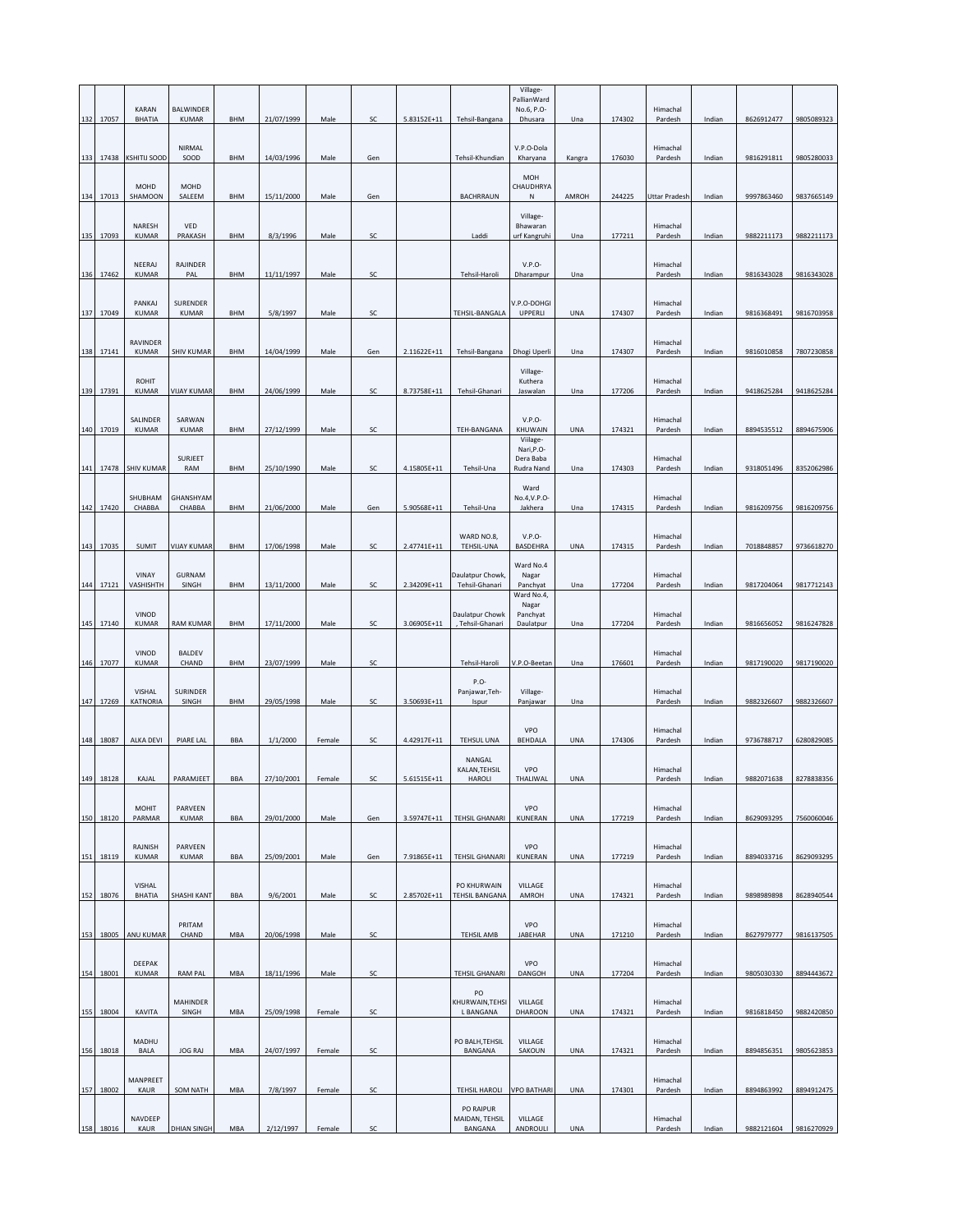| 132 | 17057     | <b>KARAN</b><br><b>BHATIA</b> | <b>BALWINDER</b><br><b>KUMAR</b> | BHM        | 21/07/1999 | Male   | SC  | 5.83152E+11 | Tehsil-Bangana                       | Village-<br>PallianWard<br>No.6, P.O-<br>Dhusara | Una        | 174302 | Himachal<br>Pardesh | Indian | 8626912477 | 9805089323 |
|-----|-----------|-------------------------------|----------------------------------|------------|------------|--------|-----|-------------|--------------------------------------|--------------------------------------------------|------------|--------|---------------------|--------|------------|------------|
| 133 |           | 17438 KSHITIJ SOOD            | NIRMAL<br>SOOD                   | BHM        | 14/03/1996 | Male   | Gen |             | Tehsil-Khundian                      | V.P.O-Dola<br>Kharyana                           | Kangra     | 176030 | Himachal<br>Pardesh | Indian | 9816291811 | 9805280033 |
|     | 134 17013 | MOHD<br>SHAMOON               | MOHD<br>SALEEM                   | BHM        | 15/11/2000 | Male   | Gen |             | <b>BACHRRAUN</b>                     | <b>MOH</b><br>CHAUDHRYA<br>N                     | AMROH      | 244225 | Uttar Pradesh       | Indian | 9997863460 | 9837665149 |
|     | 135 17093 | NARESH<br><b>KUMAR</b>        | VED<br>PRAKASH                   | BHM        | 8/3/1996   | Male   | SC  |             | Laddi                                | Village-<br>Bhawaran<br>urf Kangruhi             | Una        | 177211 | Himachal<br>Pardesh | Indian | 9882211173 | 9882211173 |
|     |           |                               |                                  |            |            |        |     |             |                                      |                                                  |            |        |                     |        |            |            |
| 136 | 17462     | NEERAJ<br><b>KUMAR</b>        | RAJINDER<br>PAL                  | BHM        | 11/11/1997 | Male   | SC  |             | Tehsil-Haroli                        | $V.P.O-$<br>Dharampur                            | Una        |        | Himachal<br>Pardesh | Indian | 9816343028 | 9816343028 |
|     | 137 17049 | PANKAJ<br><b>KUMAR</b>        | SURENDER<br>KUMAR                | BHM        | 5/8/1997   | Male   | SC  |             | TEHSIL-BANGALA                       | V.P.O-DOHGI<br>UPPERLI                           | <b>UNA</b> | 174307 | Himachal<br>Pardesh | Indian | 9816368491 | 9816703958 |
| 138 | 17141     | RAVINDER<br>KUMAR             | SHIV KUMAR                       | BHM        | 14/04/1999 | Male   | Gen | 2.11622E+11 | Tehsil-Bangana                       | Dhogi Uperli                                     | Una        | 174307 | Himachal<br>Pardesh | Indian | 9816010858 | 7807230858 |
| 139 | 17391     | <b>ROHIT</b><br><b>KUMAR</b>  | <b>VIJAY KUMAR</b>               | BHM        | 24/06/1999 | Male   | SC  | 8.73758E+11 | Tehsil-Ghanari                       | Village-<br>Kuthera<br>Jaswalan                  | Una        | 177206 | Himachal<br>Pardesh | Indian | 9418625284 | 9418625284 |
|     |           | SALINDER                      | SARWAN                           |            |            |        |     |             |                                      | $V.P.O-$                                         |            |        | Himachal            |        |            |            |
|     | 140 17019 | KUMAR                         | <b>KUMAR</b>                     | BHM        | 27/12/1999 | Male   | SC  |             | TEH-BANGANA                          | KHUWAIN<br>Viilage-<br>Nari, P.O-                | UNA        | 174321 | Pardesh             | Indian | 8894535512 | 8894675906 |
| 141 | 17478     | <b>SHIV KUMAR</b>             | SURJEET<br>RAM                   | BHM        | 25/10/1990 | Male   | SC  | 4.15805E+11 | Tehsil-Una                           | Dera Baba<br>Rudra Nand                          | Una        | 174303 | Himachal<br>Pardesh | Indian | 9318051496 | 8352062986 |
|     |           | SHUBHAM                       | GHANSHYAM                        |            |            |        |     |             |                                      | Ward<br>No.4, V.P.O                              |            |        | Himachal            |        |            |            |
| 142 | 17420     | CHABBA                        | CHABBA                           | BHM        | 21/06/2000 | Male   | Gen | 5.90568E+11 | Tehsil-Una                           | Jakhera                                          | Una        | 174315 | Pardesh             | Indian | 9816209756 | 9816209756 |
|     | 143 17035 | SUMIT                         | VIJAY KUMAR                      | BHM        | 17/06/1998 | Male   | SC  | 2.47741E+11 | WARD NO.8,<br>TEHSIL-UNA             | $V.P.O-$<br>BASDEHRA                             | <b>UNA</b> | 174315 | Himachal<br>Pardesh | Indian | 7018848857 | 9736618270 |
|     | 144 17121 | VINAY<br>VASHISHTH            | <b>GURNAM</b><br>SINGH           | <b>BHM</b> | 13/11/2000 | Male   | SC  | 2.34209E+11 | Daulatpur Chowk,<br>Tehsil-Ghanari   | Ward No.4<br>Nagar<br>Panchyat                   | Una        | 177204 | Himachal<br>Pardesh | Indian | 9817204064 | 9817712143 |
|     |           |                               |                                  |            |            |        |     |             |                                      | Ward No.4,<br>Nagar                              |            |        |                     |        |            |            |
| 145 | 17140     | VINOD<br><b>KUMAR</b>         | <b>RAM KUMAR</b>                 | BHM        | 17/11/2000 | Male   | SC  | 3.06905E+11 | Daulatpur Chowk<br>, Tehsil-Ghanari  | Panchyat<br>Daulatpur                            | Una        | 177204 | Himachal<br>Pardesh | Indian | 9816656052 | 9816247828 |
|     | 146 17077 | VINOD<br><b>KUMAR</b>         | BALDEV<br>CHAND                  | BHM        | 23/07/1999 | Male   | SC  |             | Tehsil-Haroli                        | V.P.O-Beetan                                     | Una        | 176601 | Himachal<br>Pardesh | Indian | 9817190020 | 9817190020 |
|     |           | VISHAL                        | <b>SURINDER</b>                  |            |            |        |     |             | P.O-<br>Panjawar, Teh-               | Village-                                         |            |        | Himachal            |        |            |            |
|     | 147 17269 | KATNORIA                      | SINGH                            | BHM        | 29/05/1998 | Male   | SC  | 3.50693E+11 | Ispur                                | Panjawar                                         | Una        |        | Pardesh             | Indian | 9882326607 | 9882326607 |
| 148 | 18087     | <b>ALKA DEVI</b>              | PIARE LAL                        | BBA        | 1/1/2000   | Female | SC  | 4.42917E+11 | <b>TEHSUL UNA</b><br>NANGAL          | VPO<br><b>BEHDALA</b>                            | UNA        | 174306 | Himachal<br>Pardesh | Indian | 9736788717 | 6280829085 |
| 149 | 18128     | KAJAL                         | PARAMJEET                        | <b>BBA</b> | 27/10/2001 | Female | SC  | 5.61515E+11 | KALAN, TEHSIL<br><b>HAROLI</b>       | VPO<br>THALIWAL                                  | <b>UNA</b> |        | Himachal<br>Pardesh | Indian | 9882071638 | 8278838356 |
|     | 150 18120 | <b>MOHIT</b><br>PARMAR        | PARVEEN<br><b>KUMAR</b>          | <b>BBA</b> | 29/01/2000 | Male   | Gen | 3.59747E+11 | <b>TEHSIL GHANARI</b>                | VPO<br>KUNERAN                                   | <b>UNA</b> | 177219 | Himachal<br>Pardesh | Indian | 8629093295 | 7560060046 |
| 151 | 18119     | RAJNISH<br><b>KUMAR</b>       | PARVEEN<br><b>KUMAR</b>          | BBA        | 25/09/2001 | Male   | Gen | 7.91865E+11 | <b>TEHSIL GHANARI</b>                | VPO<br>KUNERAN                                   | <b>UNA</b> | 177219 | Himachal<br>Pardesh | Indian | 8894033716 | 8629093295 |
|     |           |                               |                                  |            |            |        |     |             |                                      |                                                  |            |        |                     |        |            |            |
|     | 152 18076 | VISHAL<br>BHATIA              | SHASHI KANT                      | BBA        | 9/6/2001   | Male   | SC  | 2.85702E+11 | PO KHURWAIN<br><b>TEHSIL BANGANA</b> | VILLAGE<br>AMROH                                 | <b>UNA</b> | 174321 | Himachal<br>Pardesh | Indian | 9898989898 | 8628940544 |
|     | 153 18005 | ANU KUMAR                     | PRITAM<br>CHAND                  | MBA        | 20/06/1998 | Male   | SC  |             | <b>TEHSIL AMB</b>                    | VPO<br>JABEHAR                                   | <b>UNA</b> | 171210 | Himachal<br>Pardesh | Indian | 8627979777 | 9816137505 |
| 154 | 18001     | DEEPAK<br><b>KUMAR</b>        | <b>RAM PAL</b>                   | MBA        | 18/11/1996 | Male   | SC  |             | <b>TEHSIL GHANARI</b>                | <b>VPO</b><br>DANGOH                             | UNA        | 177204 | Himachal            | Indian | 9805030330 | 8894443672 |
|     |           |                               |                                  |            |            |        |     |             | PO                                   |                                                  |            |        | Pardesh             |        |            |            |
| 155 | 18004     | KAVITA                        | MAHINDER<br>SINGH                | MBA        | 25/09/1998 | Female | SC  |             | KHURWAIN, TEHSI<br>L BANGANA         | VILLAGE<br>DHAROON                               | UNA        | 174321 | Himachal<br>Pardesh | Indian | 9816818450 | 9882420850 |
| 156 | 18018     | MADHU<br>BALA                 | <b>JOG RAJ</b>                   | MBA        | 24/07/1997 | Female | SC  |             | PO BALH, TEHSIL<br>BANGANA           | VILLAGE<br>SAKOUN                                | UNA        | 174321 | Himachal<br>Pardesh | Indian | 8894856351 | 9805623853 |
| 157 | 18002     | MANPREET<br>KAUR              | <b>SOM NATH</b>                  | MBA        | 7/8/1997   | Female | SC  |             | <b>TEHSIL HAROLI</b>                 | <b>VPO BATHARI</b>                               | <b>UNA</b> | 174301 | Himachal<br>Pardesh | Indian | 8894863992 | 8894912475 |
|     |           | NAVDEEP                       |                                  |            |            |        |     |             | PO RAIPUR<br>MAIDAN, TEHSIL          | VILLAGE                                          |            |        | Himachal            |        |            |            |
|     | 158 18016 | KAUR                          | <b>DHIAN SINGH</b>               | MBA        | 2/12/1997  | Female | SC  |             | BANGANA                              | ANDROULI                                         | <b>UNA</b> |        | Pardesh             | Indian | 9882121604 | 9816270929 |